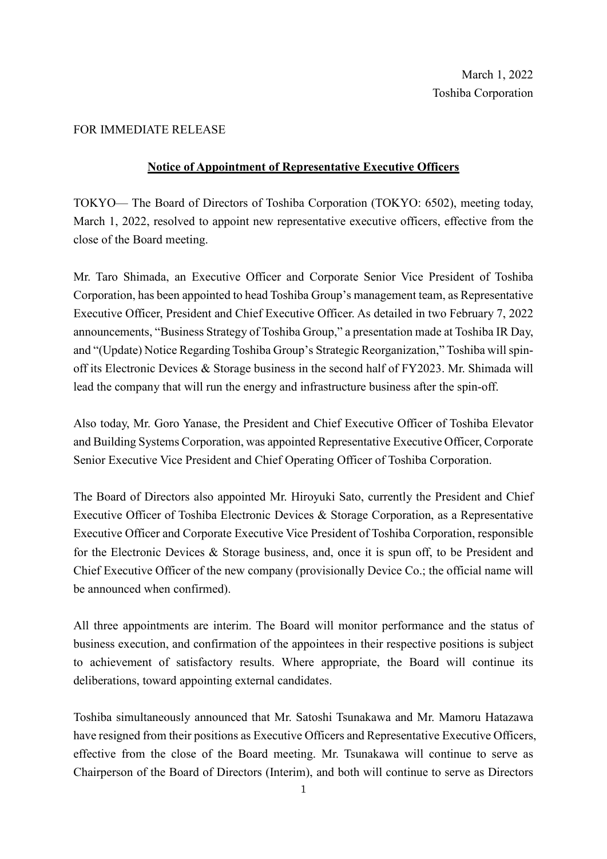## FOR IMMEDIATE RELEASE

## **Notice of Appointment of Representative Executive Officers**

TOKYO— The Board of Directors of Toshiba Corporation (TOKYO: 6502), meeting today, March 1, 2022, resolved to appoint new representative executive officers, effective from the close of the Board meeting.

Mr. Taro Shimada, an Executive Officer and Corporate Senior Vice President of Toshiba Corporation, has been appointed to head Toshiba Group's management team, as Representative Executive Officer, President and Chief Executive Officer. As detailed in two February 7, 2022 announcements, "Business Strategy of Toshiba Group," a presentation made at Toshiba IR Day, and "(Update) Notice Regarding Toshiba Group's Strategic Reorganization," Toshiba will spinoff its Electronic Devices & Storage business in the second half of FY2023. Mr. Shimada will lead the company that will run the energy and infrastructure business after the spin-off.

Also today, Mr. Goro Yanase, the President and Chief Executive Officer of Toshiba Elevator and Building Systems Corporation, was appointed Representative Executive Officer, Corporate Senior Executive Vice President and Chief Operating Officer of Toshiba Corporation.

The Board of Directors also appointed Mr. Hiroyuki Sato, currently the President and Chief Executive Officer of Toshiba Electronic Devices & Storage Corporation, as a Representative Executive Officer and Corporate Executive Vice President of Toshiba Corporation, responsible for the Electronic Devices & Storage business, and, once it is spun off, to be President and Chief Executive Officer of the new company (provisionally Device Co.; the official name will be announced when confirmed).

All three appointments are interim. The Board will monitor performance and the status of business execution, and confirmation of the appointees in their respective positions is subject to achievement of satisfactory results. Where appropriate, the Board will continue its deliberations, toward appointing external candidates.

Toshiba simultaneously announced that Mr. Satoshi Tsunakawa and Mr. Mamoru Hatazawa have resigned from their positions as Executive Officers and Representative Executive Officers, effective from the close of the Board meeting. Mr. Tsunakawa will continue to serve as Chairperson of the Board of Directors (Interim), and both will continue to serve as Directors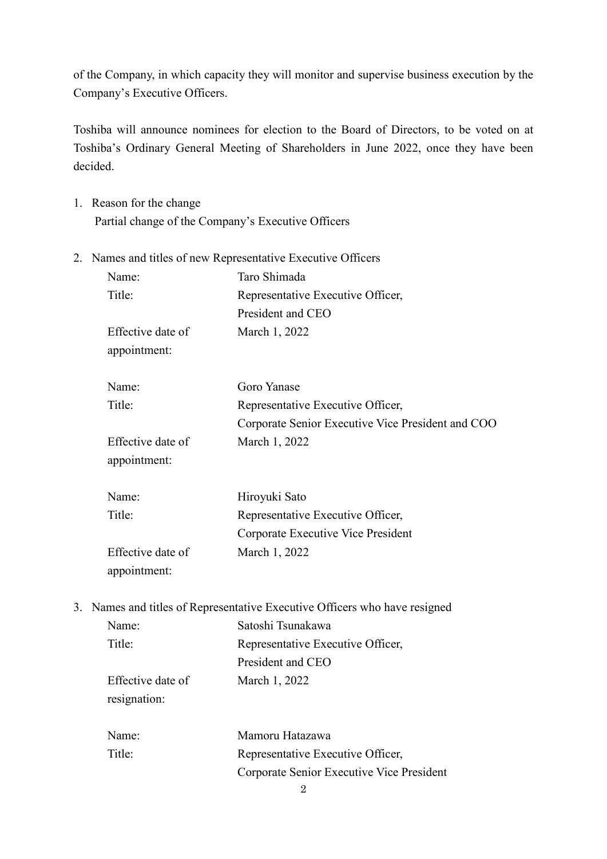of the Company, in which capacity they will monitor and supervise business execution by the Company's Executive Officers.

Toshiba will announce nominees for election to the Board of Directors, to be voted on at Toshiba's Ordinary General Meeting of Shareholders in June 2022, once they have been decided.

- 1. Reason for the change Partial change of the Company's Executive Officers
- 2. Names and titles of new Representative Executive Officers

|    | Name:             | Taro Shimada                                                            |
|----|-------------------|-------------------------------------------------------------------------|
|    | Title:            | Representative Executive Officer,                                       |
|    |                   | President and CEO                                                       |
|    | Effective date of | March 1, 2022                                                           |
|    | appointment:      |                                                                         |
|    | Name:             | Goro Yanase                                                             |
|    | Title:            | Representative Executive Officer,                                       |
|    |                   | Corporate Senior Executive Vice President and COO                       |
|    | Effective date of | March 1, 2022                                                           |
|    | appointment:      |                                                                         |
|    | Name:             | Hiroyuki Sato                                                           |
|    | Title:            | Representative Executive Officer,                                       |
|    |                   | Corporate Executive Vice President                                      |
|    | Effective date of | March 1, 2022                                                           |
|    | appointment:      |                                                                         |
| 3. |                   | Names and titles of Representative Executive Officers who have resigned |
|    | Name:             | Satoshi Tsunakawa                                                       |
|    | Title:            | Representative Executive Officer,                                       |
|    |                   | President and CEO                                                       |
|    | Effective date of | March 1, 2022                                                           |

resignation:

| Name:  | Mamoru Hatazawa                           |
|--------|-------------------------------------------|
| Title: | Representative Executive Officer,         |
|        | Corporate Senior Executive Vice President |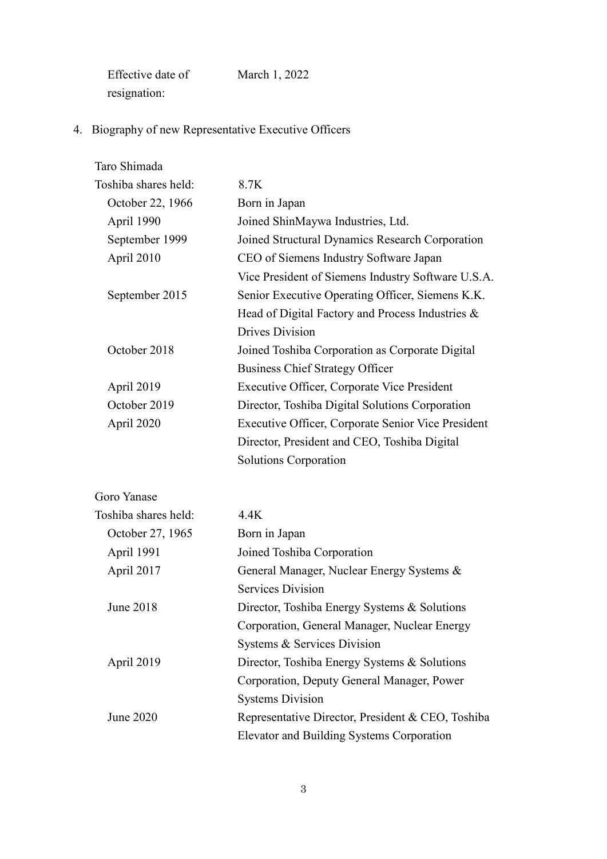| Effective date of | March 1, 2022 |
|-------------------|---------------|
| resignation:      |               |

4. Biography of new Representative Executive Officers

| Taro Shimada         |                                                    |
|----------------------|----------------------------------------------------|
| Toshiba shares held: | 8.7K                                               |
| October 22, 1966     | Born in Japan                                      |
| April 1990           | Joined ShinMaywa Industries, Ltd.                  |
| September 1999       | Joined Structural Dynamics Research Corporation    |
| April 2010           | CEO of Siemens Industry Software Japan             |
|                      | Vice President of Siemens Industry Software U.S.A. |
| September 2015       | Senior Executive Operating Officer, Siemens K.K.   |
|                      | Head of Digital Factory and Process Industries &   |
|                      | Drives Division                                    |
| October 2018         | Joined Toshiba Corporation as Corporate Digital    |
|                      | <b>Business Chief Strategy Officer</b>             |
| April 2019           | <b>Executive Officer, Corporate Vice President</b> |
| October 2019         | Director, Toshiba Digital Solutions Corporation    |
| April 2020           | Executive Officer, Corporate Senior Vice President |
|                      | Director, President and CEO, Toshiba Digital       |
|                      | Solutions Corporation                              |
|                      |                                                    |

Goro Yanase

| Toshiba shares held: | 4.4K                                              |
|----------------------|---------------------------------------------------|
| October 27, 1965     | Born in Japan                                     |
| April 1991           | Joined Toshiba Corporation                        |
| April 2017           | General Manager, Nuclear Energy Systems &         |
|                      | Services Division                                 |
| June 2018            | Director, Toshiba Energy Systems & Solutions      |
|                      | Corporation, General Manager, Nuclear Energy      |
|                      | Systems & Services Division                       |
| April 2019           | Director, Toshiba Energy Systems & Solutions      |
|                      | Corporation, Deputy General Manager, Power        |
|                      | <b>Systems Division</b>                           |
| June 2020            | Representative Director, President & CEO, Toshiba |
|                      | Elevator and Building Systems Corporation         |